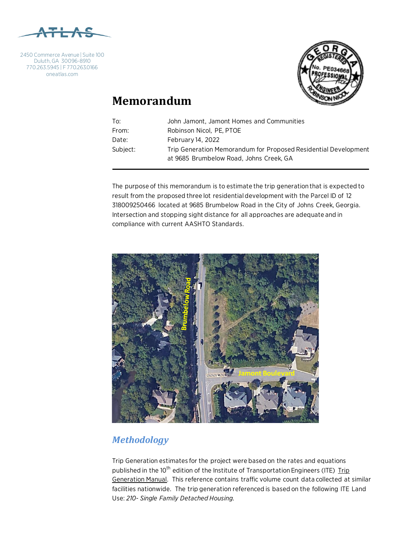

2450 Commerce Avenue | Suite 100 Duluth, GA 30096-8910 770.263.5945 | F 770.263.0166 oneatlas.com



## **Memorandum**

| To:      | John Jamont, Jamont Homes and Communities                                                                  |
|----------|------------------------------------------------------------------------------------------------------------|
| From:    | Robinson Nicol, PE, PTOE                                                                                   |
| Date:    | February 14, 2022                                                                                          |
| Subject: | Trip Generation Memorandum for Proposed Residential Development<br>at 9685 Brumbelow Road, Johns Creek, GA |

The purpose of this memorandum is to estimate the trip generation that is expected to result from the proposed three lot residential development with the Parcel ID of 12 318009250466 located at 9685 Brumbelow Road in the City of Johns Creek, Georgia. Intersection and stopping sight distance for all approaches are adequate and in compliance with current AASHTO Standards.



## *Methodology*

Trip Generation estimates for the project were based on the rates and equations published in the 10<sup>th</sup> edition of the Institute of Transportation Engineers (ITE) Trip Generation Manual. This reference contains traffic volume count data collected at similar facilities nationwide. The trip generation referenced is based on the following ITE Land Use: *210- Single Family Detached Housing.*